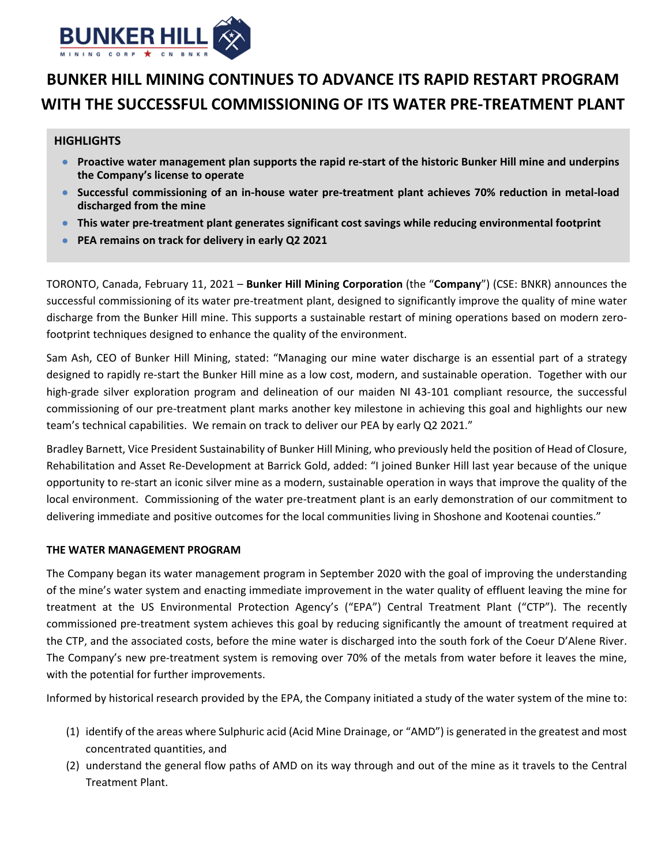

# **BUNKER HILL MINING CONTINUES TO ADVANCE ITS RAPID RESTART PROGRAM WITH THE SUCCESSFUL COMMISSIONING OF ITS WATER PRE‐TREATMENT PLANT**

## **HIGHLIGHTS**

- Proactive water management plan supports the rapid re-start of the historic Bunker Hill mine and underpins **the Company's license to operate**
- Successful commissioning of an in-house water pre-treatment plant achieves 70% reduction in metal-load **discharged from the mine**
- **This water pre‐treatment plant generates significant cost savings while reducing environmental footprint**
- **PEA remains on track for delivery in early Q2 2021**

TORONTO, Canada, February 11, 2021 – **Bunker Hill Mining Corporation** (the "**Company**") (CSE: BNKR) announces the successful commissioning of its water pre-treatment plant, designed to significantly improve the quality of mine water discharge from the Bunker Hill mine. This supports a sustainable restart of mining operations based on modern zerofootprint techniques designed to enhance the quality of the environment.

Sam Ash, CEO of Bunker Hill Mining, stated: "Managing our mine water discharge is an essential part of a strategy designed to rapidly re‐start the Bunker Hill mine as a low cost, modern, and sustainable operation. Together with our high-grade silver exploration program and delineation of our maiden NI 43-101 compliant resource, the successful commissioning of our pre-treatment plant marks another key milestone in achieving this goal and highlights our new team's technical capabilities. We remain on track to deliver our PEA by early Q2 2021."

Bradley Barnett, Vice President Sustainability of Bunker Hill Mining, who previously held the position of Head of Closure, Rehabilitation and Asset Re‐Development at Barrick Gold, added: "I joined Bunker Hill last year because of the unique opportunity to re‐start an iconic silver mine as a modern, sustainable operation in ways that improve the quality of the local environment. Commissioning of the water pre‐treatment plant is an early demonstration of our commitment to delivering immediate and positive outcomes for the local communities living in Shoshone and Kootenai counties."

## **THE WATER MANAGEMENT PROGRAM**

The Company began its water management program in September 2020 with the goal of improving the understanding of the mine's water system and enacting immediate improvement in the water quality of effluent leaving the mine for treatment at the US Environmental Protection Agency's ("EPA") Central Treatment Plant ("CTP"). The recently commissioned pre‐treatment system achieves this goal by reducing significantly the amount of treatment required at the CTP, and the associated costs, before the mine water is discharged into the south fork of the Coeur D'Alene River. The Company's new pre-treatment system is removing over 70% of the metals from water before it leaves the mine, with the potential for further improvements.

Informed by historical research provided by the EPA, the Company initiated a study of the water system of the mine to:

- (1) identify of the areas where Sulphuric acid (Acid Mine Drainage, or "AMD") is generated in the greatest and most concentrated quantities, and
- (2) understand the general flow paths of AMD on its way through and out of the mine as it travels to the Central Treatment Plant.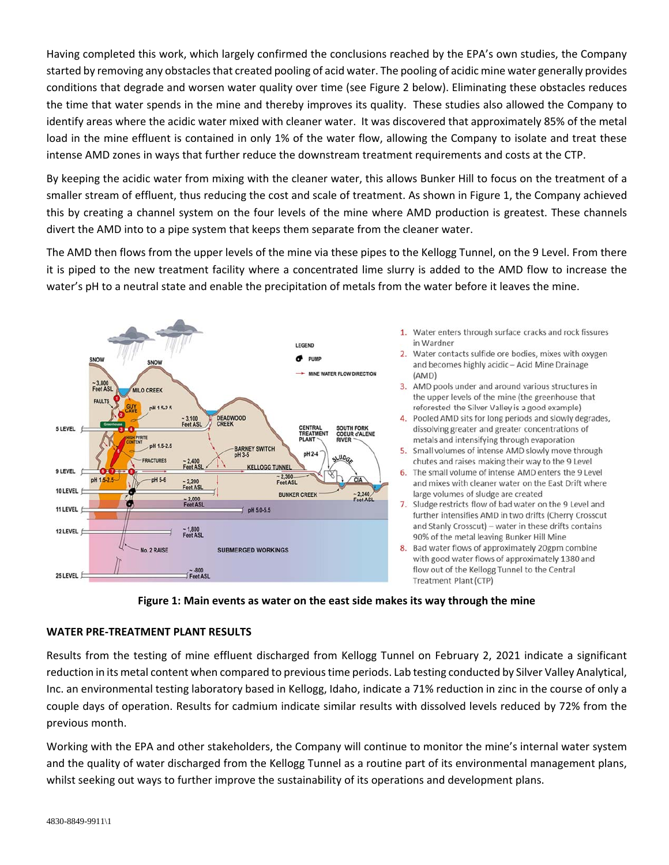Having completed this work, which largely confirmed the conclusions reached by the EPA's own studies, the Company started by removing any obstaclesthat created pooling of acid water. The pooling of acidic mine water generally provides conditions that degrade and worsen water quality over time (see Figure 2 below). Eliminating these obstacles reduces the time that water spends in the mine and thereby improves its quality. These studies also allowed the Company to identify areas where the acidic water mixed with cleaner water. It was discovered that approximately 85% of the metal load in the mine effluent is contained in only 1% of the water flow, allowing the Company to isolate and treat these intense AMD zones in ways that further reduce the downstream treatment requirements and costs at the CTP.

By keeping the acidic water from mixing with the cleaner water, this allows Bunker Hill to focus on the treatment of a smaller stream of effluent, thus reducing the cost and scale of treatment. As shown in Figure 1, the Company achieved this by creating a channel system on the four levels of the mine where AMD production is greatest. These channels divert the AMD into to a pipe system that keeps them separate from the cleaner water.

The AMD then flows from the upper levels of the mine via these pipes to the Kellogg Tunnel, on the 9 Level. From there it is piped to the new treatment facility where a concentrated lime slurry is added to the AMD flow to increase the water's pH to a neutral state and enable the precipitation of metals from the water before it leaves the mine.



- 1. Water enters through surface cracks and rock fissures in Wardner
- 2. Water contacts sulfide ore bodies, mixes with oxygen and becomes highly acidic-Acid Mine Drainage  $(AMD)$
- 3. AMD pools under and around various structures in the upper levels of the mine (the greenhouse that reforested the Silver Valley is a good example)
- 4. Pooled AMD sits for long periods and slowly degrades, dissolving greater and greater concentrations of metals and intensifying through evaporation
- 5. Small volumes of intense AMD slowly move through chutes and raises making their way to the 9 Level
- 6. The small volume of intense AMD enters the 9 Level and mixes with cleaner water on the East Drift where large volumes of sludge are created
- 7. Sludge restricts flow of bad water on the 9 Level and further intensifies AMD in two drifts (Cherry Crosscut and Stanly Crosscut) - water in these drifts contains 90% of the metal leaving Bunker Hill Mine
- 8. Bad water flows of approximately 20gpm combine with good water flows of approximately 1380 and flow out of the Kellogg Tunnel to the Central Treatment Plant (CTP)



## **WATER PRE‐TREATMENT PLANT RESULTS**

Results from the testing of mine effluent discharged from Kellogg Tunnel on February 2, 2021 indicate a significant reduction in its metal content when compared to previous time periods. Lab testing conducted by Silver Valley Analytical, Inc. an environmental testing laboratory based in Kellogg, Idaho, indicate a 71% reduction in zinc in the course of only a couple days of operation. Results for cadmium indicate similar results with dissolved levels reduced by 72% from the previous month.

Working with the EPA and other stakeholders, the Company will continue to monitor the mine's internal water system and the quality of water discharged from the Kellogg Tunnel as a routine part of its environmental management plans, whilst seeking out ways to further improve the sustainability of its operations and development plans.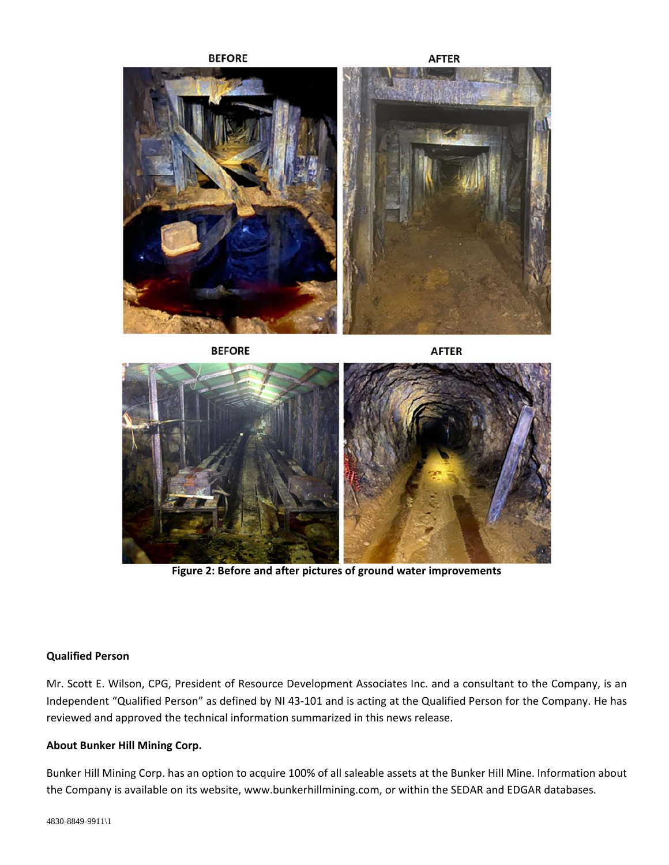**BEFORE** 

**AFTER** 



**BEFORE** 

**AFTER** 



**Figure 2: Before and after pictures of ground water improvements** 

#### **Qualified Person**

Mr. Scott E. Wilson, CPG, President of Resource Development Associates Inc. and a consultant to the Company, is an Independent "Qualified Person" as defined by NI 43‐101 and is acting at the Qualified Person for the Company. He has reviewed and approved the technical information summarized in this news release.

## **About Bunker Hill Mining Corp.**

Bunker Hill Mining Corp. has an option to acquire 100% of all saleable assets at the Bunker Hill Mine. Information about the Company is available on its website, www.bunkerhillmining.com, or within the SEDAR and EDGAR databases.